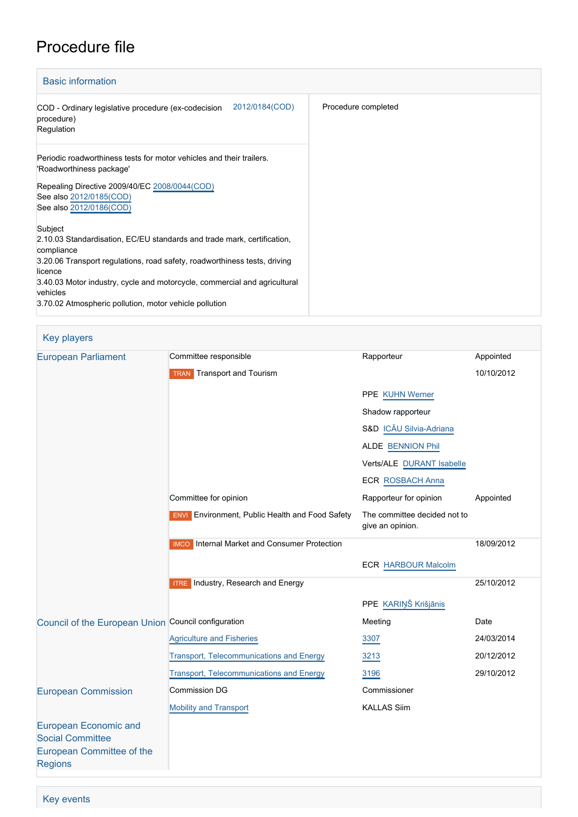# Procedure file

| <b>Basic information</b>                                                                                                                                                                                                                                                                                                                    |                     |
|---------------------------------------------------------------------------------------------------------------------------------------------------------------------------------------------------------------------------------------------------------------------------------------------------------------------------------------------|---------------------|
| 2012/0184(COD)<br>COD - Ordinary legislative procedure (ex-codecision<br>procedure)<br>Regulation                                                                                                                                                                                                                                           | Procedure completed |
| Periodic roadworthiness tests for motor vehicles and their trailers.<br>'Roadworthiness package'<br>Repealing Directive 2009/40/EC 2008/0044(COD)<br>See also 2012/0185(COD)<br>See also 2012/0186(COD)                                                                                                                                     |                     |
| Subject<br>2.10.03 Standardisation, EC/EU standards and trade mark, certification,<br>compliance<br>3.20.06 Transport regulations, road safety, roadworthiness tests, driving<br>licence<br>3.40.03 Motor industry, cycle and motorcycle, commercial and agricultural<br>vehicles<br>3.70.02 Atmospheric pollution, motor vehicle pollution |                     |

| <b>Key players</b> |  |  |
|--------------------|--|--|
|                    |  |  |

| <b>European Parliament</b>                              | Committee responsible                                  | Rapporteur                                       | Appointed  |
|---------------------------------------------------------|--------------------------------------------------------|--------------------------------------------------|------------|
|                                                         | <b>TRAN</b> Transport and Tourism                      |                                                  | 10/10/2012 |
|                                                         |                                                        | PPE KUHN Werner                                  |            |
|                                                         |                                                        | Shadow rapporteur                                |            |
|                                                         |                                                        | S&D ICĂU Silvia-Adriana                          |            |
|                                                         |                                                        | ALDE BENNION Phil                                |            |
|                                                         |                                                        | Verts/ALE DURANT Isabelle                        |            |
|                                                         |                                                        | <b>ECR ROSBACH Anna</b>                          |            |
|                                                         | Committee for opinion                                  | Rapporteur for opinion                           | Appointed  |
|                                                         | <b>ENVI</b> Environment, Public Health and Food Safety | The committee decided not to<br>give an opinion. |            |
|                                                         | <b>IMCO</b> Internal Market and Consumer Protection    |                                                  | 18/09/2012 |
|                                                         |                                                        | <b>ECR HARBOUR Malcolm</b>                       |            |
|                                                         | <b>ITRE</b> Industry, Research and Energy              |                                                  | 25/10/2012 |
|                                                         |                                                        | PPE KARIŅŠ Krišjānis                             |            |
| Council of the European Union Council configuration     |                                                        | Meeting                                          | Date       |
|                                                         | <b>Agriculture and Fisheries</b>                       | 3307                                             | 24/03/2014 |
|                                                         | <b>Transport, Telecommunications and Energy</b>        | 3213                                             | 20/12/2012 |
|                                                         | Transport, Telecommunications and Energy               | 3196                                             | 29/10/2012 |
| <b>European Commission</b>                              | <b>Commission DG</b>                                   | Commissioner                                     |            |
|                                                         | Mobility and Transport                                 | <b>KALLAS Siim</b>                               |            |
| <b>European Economic and</b><br><b>Social Committee</b> |                                                        |                                                  |            |
| <b>European Committee of the</b><br><b>Regions</b>      |                                                        |                                                  |            |

Key events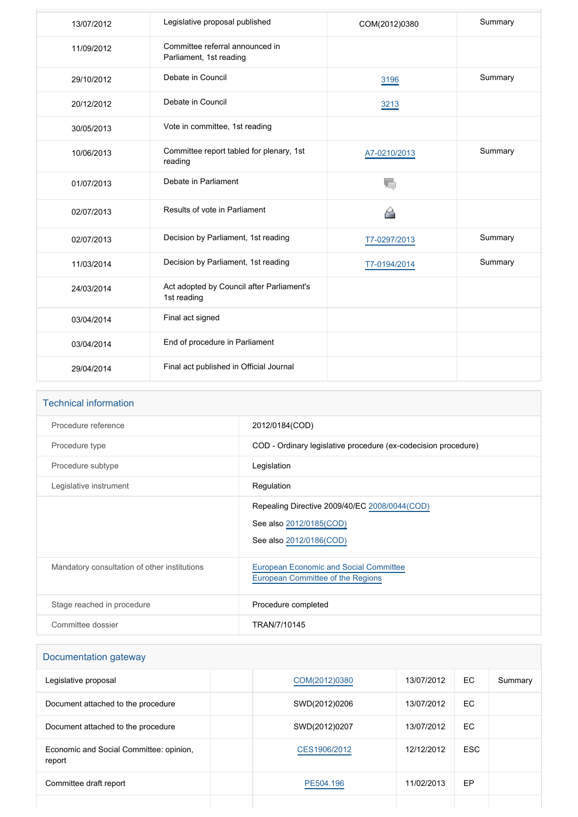| 13/07/2012 | Legislative proposal published                             | COM(2012)0380 | Summary |
|------------|------------------------------------------------------------|---------------|---------|
| 11/09/2012 | Committee referral announced in<br>Parliament, 1st reading |               |         |
| 29/10/2012 | Debate in Council                                          | 3196          | Summary |
| 20/12/2012 | Debate in Council                                          | 3213          |         |
| 30/05/2013 | Vote in committee, 1st reading                             |               |         |
| 10/06/2013 | Committee report tabled for plenary, 1st<br>reading        | A7-0210/2013  | Summary |
| 01/07/2013 | Debate in Parliament                                       | T,            |         |
| 02/07/2013 | Results of vote in Parliament                              | ≙             |         |
| 02/07/2013 | Decision by Parliament, 1st reading                        | T7-0297/2013  | Summary |
| 11/03/2014 | Decision by Parliament, 1st reading                        | T7-0194/2014  | Summary |
| 24/03/2014 | Act adopted by Council after Parliament's<br>1st reading   |               |         |
| 03/04/2014 | Final act signed                                           |               |         |
| 03/04/2014 | End of procedure in Parliament                             |               |         |
| 29/04/2014 | Final act published in Official Journal                    |               |         |

| <b>Technical information</b>                 |                                                                                                     |
|----------------------------------------------|-----------------------------------------------------------------------------------------------------|
| Procedure reference                          | 2012/0184(COD)                                                                                      |
| Procedure type                               | COD - Ordinary legislative procedure (ex-codecision procedure)                                      |
| Procedure subtype                            | Legislation                                                                                         |
| Legislative instrument                       | Regulation                                                                                          |
|                                              | Repealing Directive 2009/40/EC 2008/0044(COD)<br>See also 2012/0185(COD)<br>See also 2012/0186(COD) |
| Mandatory consultation of other institutions | <b>European Economic and Social Committee</b><br>European Committee of the Regions                  |
| Stage reached in procedure                   | Procedure completed                                                                                 |
| Committee dossier                            | TRAN/7/10145                                                                                        |

| Documentation gateway                             |               |            |            |         |
|---------------------------------------------------|---------------|------------|------------|---------|
| Legislative proposal                              | COM(2012)0380 | 13/07/2012 | EC.        | Summary |
| Document attached to the procedure                | SWD(2012)0206 | 13/07/2012 | EC.        |         |
| Document attached to the procedure                | SWD(2012)0207 | 13/07/2012 | EC.        |         |
| Economic and Social Committee: opinion.<br>report | CES1906/2012  | 12/12/2012 | <b>ESC</b> |         |
| Committee draft report                            | PE504.196     | 11/02/2013 | EP         |         |
|                                                   |               |            |            |         |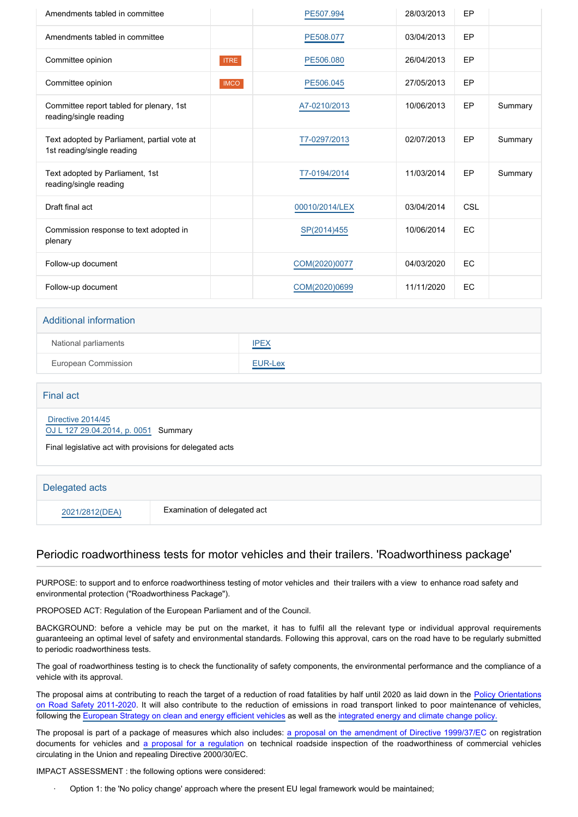| Amendments tabled in committee                                            |             | PE507.994      | 28/03/2013 | EP        |         |
|---------------------------------------------------------------------------|-------------|----------------|------------|-----------|---------|
| Amendments tabled in committee                                            |             | PE508.077      | 03/04/2013 | EP        |         |
| Committee opinion                                                         | <b>ITRE</b> | PE506.080      | 26/04/2013 | EP        |         |
| Committee opinion                                                         | <b>IMCO</b> | PE506.045      | 27/05/2013 | EP        |         |
| Committee report tabled for plenary, 1st<br>reading/single reading        |             | A7-0210/2013   | 10/06/2013 | EP        | Summary |
| Text adopted by Parliament, partial vote at<br>1st reading/single reading |             | T7-0297/2013   | 02/07/2013 | EP        | Summary |
| Text adopted by Parliament, 1st<br>reading/single reading                 |             | T7-0194/2014   | 11/03/2014 | EP        | Summary |
| Draft final act                                                           |             | 00010/2014/LEX | 03/04/2014 | CSL       |         |
| Commission response to text adopted in<br>plenary                         |             | SP(2014)455    | 10/06/2014 | <b>EC</b> |         |
| Follow-up document                                                        |             | COM(2020)0077  | 04/03/2020 | <b>EC</b> |         |
| Follow-up document                                                        |             | COM(2020)0699  | 11/11/2020 | <b>EC</b> |         |

| <b>Additional information</b> |             |
|-------------------------------|-------------|
| National parliaments          | <b>IPEX</b> |
| European Commission           | EUR-Lex     |

#### Final act

 [Directive 2014/45](https://eur-lex.europa.eu/smartapi/cgi/sga_doc?smartapi!celexplus!prod!CELEXnumdoc&lg=EN&numdoc=32014L0045)

[OJ L 127 29.04.2014, p. 0051](https://eur-lex.europa.eu/legal-content/EN/TXT/?uri=OJ:L:2014:127:TOC) Summary

Final legislative act with provisions for delegated acts

#### Delegated acts

2021/2812(DEA) Examination of delegated act

## Periodic roadworthiness tests for motor vehicles and their trailers. 'Roadworthiness package'

PURPOSE: to support and to enforce roadworthiness testing of motor vehicles and their trailers with a view to enhance road safety and environmental protection ("Roadworthiness Package").

PROPOSED ACT: Regulation of the European Parliament and of the Council.

BACKGROUND: before a vehicle may be put on the market, it has to fulfil all the relevant type or individual approval requirements guaranteeing an optimal level of safety and environmental standards. Following this approval, cars on the road have to be regularly submitted to periodic roadworthiness tests.

The goal of roadworthiness testing is to check the functionality of safety components, the environmental performance and the compliance of a vehicle with its approval.

The proposal aims at contributing to reach the target of a reduction of road fatalities by half until 2020 as laid down in the [Policy Orientations](http://www.eur-lex.europa.eu/LexUriServ/LexUriServ.do?uri=COM:2010:0389:FIN:EN:PDF) [on Road Safety 2011-2020](http://www.eur-lex.europa.eu/LexUriServ/LexUriServ.do?uri=COM:2010:0389:FIN:EN:PDF). It will also contribute to the reduction of emissions in road transport linked to poor maintenance of vehicles, following the [European Strategy on clean and energy efficient vehicles](http://www.eur-lex.europa.eu/LexUriServ/LexUriServ.do?uri=COM:2010:0186:FIN:EN:PDF) as well as the [integrated energy and climate change policy.](http://www.eur-lex.europa.eu/LexUriServ/LexUriServ.do?uri=COM:2008:0030:FIN:EN:PDF)

The proposal is part of a package of measures which also includes: [a proposal on the amendment of Directive 1999/37/E](http://www.europarl.europa.eu/oeil/popups/ficheprocedure.do?lang=EN&procnum=COD/2012/0185)C on registration documents for vehicles and [a proposal for a regulatio](http://www.europarl.europa.eu/oeil/popups/ficheprocedure.do?lang=EN&procnum=COD/2012/0186)n on technical roadside inspection of the roadworthiness of commercial vehicles circulating in the Union and repealing Directive 2000/30/EC.

IMPACT ASSESSMENT : the following options were considered:

· Option 1: the 'No policy change' approach where the present EU legal framework would be maintained;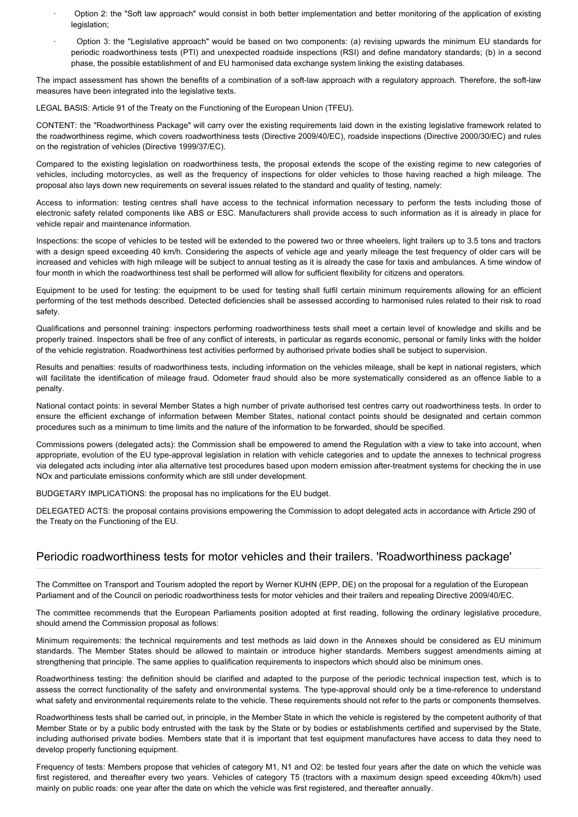- · Option 2: the "Soft law approach" would consist in both better implementation and better monitoring of the application of existing legislation;
- Option 3: the "Legislative approach" would be based on two components: (a) revising upwards the minimum EU standards for periodic roadworthiness tests (PTI) and unexpected roadside inspections (RSI) and define mandatory standards; (b) in a second phase, the possible establishment of and EU harmonised data exchange system linking the existing databases.

The impact assessment has shown the benefits of a combination of a soft-law approach with a regulatory approach. Therefore, the soft-law measures have been integrated into the legislative texts.

LEGAL BASIS: Article 91 of the Treaty on the Functioning of the European Union (TFEU).

CONTENT: the "Roadworthiness Package" will carry over the existing requirements laid down in the existing legislative framework related to the roadworthiness regime, which covers roadworthiness tests (Directive 2009/40/EC), roadside inspections (Directive 2000/30/EC) and rules on the registration of vehicles (Directive 1999/37/EC).

Compared to the existing legislation on roadworthiness tests, the proposal extends the scope of the existing regime to new categories of vehicles, including motorcycles, as well as the frequency of inspections for older vehicles to those having reached a high mileage. The proposal also lays down new requirements on several issues related to the standard and quality of testing, namely:

Access to information: testing centres shall have access to the technical information necessary to perform the tests including those of electronic safety related components like ABS or ESC. Manufacturers shall provide access to such information as it is already in place for vehicle repair and maintenance information.

Inspections: the scope of vehicles to be tested will be extended to the powered two or three wheelers, light trailers up to 3.5 tons and tractors with a design speed exceeding 40 km/h. Considering the aspects of vehicle age and yearly mileage the test frequency of older cars will be increased and vehicles with high mileage will be subject to annual testing as it is already the case for taxis and ambulances. A time window of four month in which the roadworthiness test shall be performed will allow for sufficient flexibility for citizens and operators.

Equipment to be used for testing: the equipment to be used for testing shall fulfil certain minimum requirements allowing for an efficient performing of the test methods described. Detected deficiencies shall be assessed according to harmonised rules related to their risk to road safety.

Qualifications and personnel training: inspectors performing roadworthiness tests shall meet a certain level of knowledge and skills and be properly trained. Inspectors shall be free of any conflict of interests, in particular as regards economic, personal or family links with the holder of the vehicle registration. Roadworthiness test activities performed by authorised private bodies shall be subject to supervision.

Results and penalties: results of roadworthiness tests, including information on the vehicles mileage, shall be kept in national registers, which will facilitate the identification of mileage fraud. Odometer fraud should also be more systematically considered as an offence liable to a penalty.

National contact points: in several Member States a high number of private authorised test centres carry out roadworthiness tests. In order to ensure the efficient exchange of information between Member States, national contact points should be designated and certain common procedures such as a minimum to time limits and the nature of the information to be forwarded, should be specified.

Commissions powers (delegated acts): the Commission shall be empowered to amend the Regulation with a view to take into account, when appropriate, evolution of the EU type-approval legislation in relation with vehicle categories and to update the annexes to technical progress via delegated acts including inter alia alternative test procedures based upon modern emission after-treatment systems for checking the in use NOx and particulate emissions conformity which are still under development.

BUDGETARY IMPLICATIONS: the proposal has no implications for the EU budget.

DELEGATED ACTS: the proposal contains provisions empowering the Commission to adopt delegated acts in accordance with Article 290 of the Treaty on the Functioning of the EU.

# Periodic roadworthiness tests for motor vehicles and their trailers. 'Roadworthiness package'

The Committee on Transport and Tourism adopted the report by Werner KUHN (EPP, DE) on the proposal for a regulation of the European Parliament and of the Council on periodic roadworthiness tests for motor vehicles and their trailers and repealing Directive 2009/40/EC.

The committee recommends that the European Parliaments position adopted at first reading, following the ordinary legislative procedure, should amend the Commission proposal as follows:

Minimum requirements: the technical requirements and test methods as laid down in the Annexes should be considered as EU minimum standards. The Member States should be allowed to maintain or introduce higher standards. Members suggest amendments aiming at strengthening that principle. The same applies to qualification requirements to inspectors which should also be minimum ones.

Roadworthiness testing: the definition should be clarified and adapted to the purpose of the periodic technical inspection test, which is to assess the correct functionality of the safety and environmental systems. The type-approval should only be a time-reference to understand what safety and environmental requirements relate to the vehicle. These requirements should not refer to the parts or components themselves.

Roadworthiness tests shall be carried out, in principle, in the Member State in which the vehicle is registered by the competent authority of that Member State or by a public body entrusted with the task by the State or by bodies or establishments certified and supervised by the State, including authorised private bodies. Members state that it is important that test equipment manufactures have access to data they need to develop properly functioning equipment.

Frequency of tests: Members propose that vehicles of category M1, N1 and O2: be tested four years after the date on which the vehicle was first registered, and thereafter every two years. Vehicles of category T5 (tractors with a maximum design speed exceeding 40km/h) used mainly on public roads: one year after the date on which the vehicle was first registered, and thereafter annually.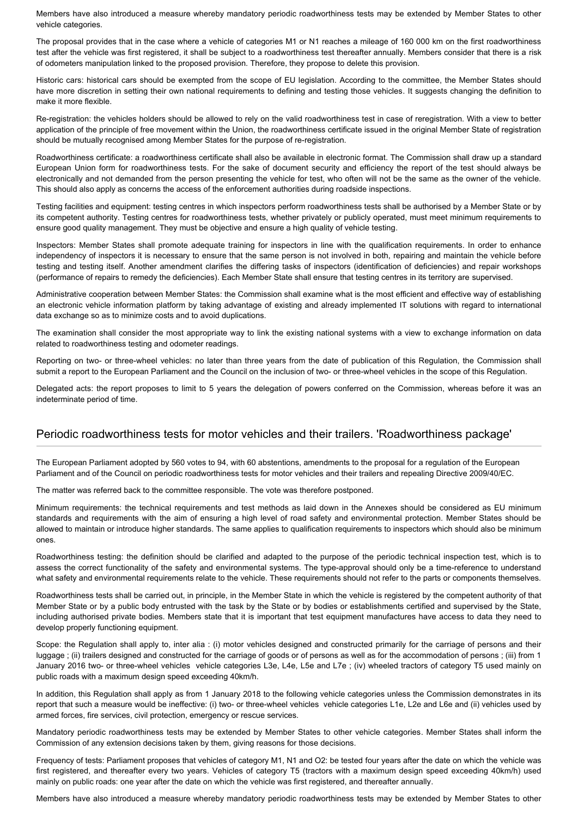Members have also introduced a measure whereby mandatory periodic roadworthiness tests may be extended by Member States to other vehicle categories.

The proposal provides that in the case where a vehicle of categories M1 or N1 reaches a mileage of 160 000 km on the first roadworthiness test after the vehicle was first registered, it shall be subject to a roadworthiness test thereafter annually. Members consider that there is a risk of odometers manipulation linked to the proposed provision. Therefore, they propose to delete this provision.

Historic cars: historical cars should be exempted from the scope of EU legislation. According to the committee, the Member States should have more discretion in setting their own national requirements to defining and testing those vehicles. It suggests changing the definition to make it more flexible.

Re-registration: the vehicles holders should be allowed to rely on the valid roadworthiness test in case of reregistration. With a view to better application of the principle of free movement within the Union, the roadworthiness certificate issued in the original Member State of registration should be mutually recognised among Member States for the purpose of re-registration.

Roadworthiness certificate: a roadworthiness certificate shall also be available in electronic format. The Commission shall draw up a standard European Union form for roadworthiness tests. For the sake of document security and efficiency the report of the test should always be electronically and not demanded from the person presenting the vehicle for test, who often will not be the same as the owner of the vehicle. This should also apply as concerns the access of the enforcement authorities during roadside inspections.

Testing facilities and equipment: testing centres in which inspectors perform roadworthiness tests shall be authorised by a Member State or by its competent authority. Testing centres for roadworthiness tests, whether privately or publicly operated, must meet minimum requirements to ensure good quality management. They must be objective and ensure a high quality of vehicle testing.

Inspectors: Member States shall promote adequate training for inspectors in line with the qualification requirements. In order to enhance independency of inspectors it is necessary to ensure that the same person is not involved in both, repairing and maintain the vehicle before testing and testing itself. Another amendment clarifies the differing tasks of inspectors (identification of deficiencies) and repair workshops (performance of repairs to remedy the deficiencies). Each Member State shall ensure that testing centres in its territory are supervised.

Administrative cooperation between Member States: the Commission shall examine what is the most efficient and effective way of establishing an electronic vehicle information platform by taking advantage of existing and already implemented IT solutions with regard to international data exchange so as to minimize costs and to avoid duplications.

The examination shall consider the most appropriate way to link the existing national systems with a view to exchange information on data related to roadworthiness testing and odometer readings.

Reporting on two- or three-wheel vehicles: no later than three years from the date of publication of this Regulation, the Commission shall submit a report to the European Parliament and the Council on the inclusion of two- or three-wheel vehicles in the scope of this Regulation.

Delegated acts: the report proposes to limit to 5 years the delegation of powers conferred on the Commission, whereas before it was an indeterminate period of time.

## Periodic roadworthiness tests for motor vehicles and their trailers. 'Roadworthiness package'

The European Parliament adopted by 560 votes to 94, with 60 abstentions, amendments to the proposal for a regulation of the European Parliament and of the Council on periodic roadworthiness tests for motor vehicles and their trailers and repealing Directive 2009/40/EC.

The matter was referred back to the committee responsible. The vote was therefore postponed.

Minimum requirements: the technical requirements and test methods as laid down in the Annexes should be considered as EU minimum standards and requirements with the aim of ensuring a high level of road safety and environmental protection. Member States should be allowed to maintain or introduce higher standards. The same applies to qualification requirements to inspectors which should also be minimum ones.

Roadworthiness testing: the definition should be clarified and adapted to the purpose of the periodic technical inspection test, which is to assess the correct functionality of the safety and environmental systems. The type-approval should only be a time-reference to understand what safety and environmental requirements relate to the vehicle. These requirements should not refer to the parts or components themselves.

Roadworthiness tests shall be carried out, in principle, in the Member State in which the vehicle is registered by the competent authority of that Member State or by a public body entrusted with the task by the State or by bodies or establishments certified and supervised by the State, including authorised private bodies. Members state that it is important that test equipment manufactures have access to data they need to develop properly functioning equipment.

Scope: the Regulation shall apply to, inter alia : (i) motor vehicles designed and constructed primarily for the carriage of persons and their luggage ; (ii) trailers designed and constructed for the carriage of goods or of persons as well as for the accommodation of persons ; (iii) from 1 January 2016 two- or three-wheel vehicles vehicle categories L3e, L4e, L5e and L7e ; (iv) wheeled tractors of category T5 used mainly on public roads with a maximum design speed exceeding 40km/h.

In addition, this Regulation shall apply as from 1 January 2018 to the following vehicle categories unless the Commission demonstrates in its report that such a measure would be ineffective: (i) two- or three-wheel vehicles vehicle categories L1e, L2e and L6e and (ii) vehicles used by armed forces, fire services, civil protection, emergency or rescue services.

Mandatory periodic roadworthiness tests may be extended by Member States to other vehicle categories. Member States shall inform the Commission of any extension decisions taken by them, giving reasons for those decisions.

Frequency of tests: Parliament proposes that vehicles of category M1, N1 and O2: be tested four years after the date on which the vehicle was first registered, and thereafter every two years. Vehicles of category T5 (tractors with a maximum design speed exceeding 40km/h) used mainly on public roads: one year after the date on which the vehicle was first registered, and thereafter annually.

Members have also introduced a measure whereby mandatory periodic roadworthiness tests may be extended by Member States to other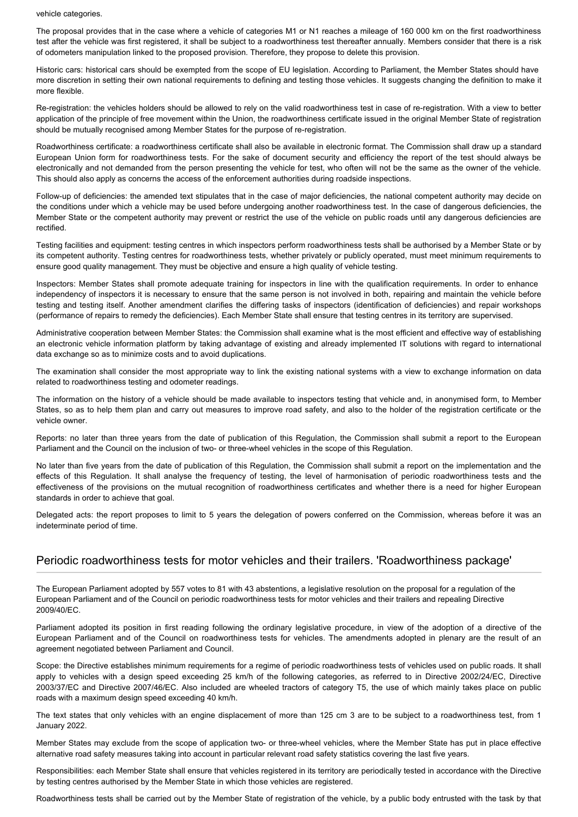#### vehicle categories.

The proposal provides that in the case where a vehicle of categories M1 or N1 reaches a mileage of 160 000 km on the first roadworthiness test after the vehicle was first registered, it shall be subject to a roadworthiness test thereafter annually. Members consider that there is a risk of odometers manipulation linked to the proposed provision. Therefore, they propose to delete this provision.

Historic cars: historical cars should be exempted from the scope of EU legislation. According to Parliament, the Member States should have more discretion in setting their own national requirements to defining and testing those vehicles. It suggests changing the definition to make it more flexible.

Re-registration: the vehicles holders should be allowed to rely on the valid roadworthiness test in case of re-registration. With a view to better application of the principle of free movement within the Union, the roadworthiness certificate issued in the original Member State of registration should be mutually recognised among Member States for the purpose of re-registration.

Roadworthiness certificate: a roadworthiness certificate shall also be available in electronic format. The Commission shall draw up a standard European Union form for roadworthiness tests. For the sake of document security and efficiency the report of the test should always be electronically and not demanded from the person presenting the vehicle for test, who often will not be the same as the owner of the vehicle. This should also apply as concerns the access of the enforcement authorities during roadside inspections.

Follow-up of deficiencies: the amended text stipulates that in the case of major deficiencies, the national competent authority may decide on the conditions under which a vehicle may be used before undergoing another roadworthiness test. In the case of dangerous deficiencies, the Member State or the competent authority may prevent or restrict the use of the vehicle on public roads until any dangerous deficiencies are rectified.

Testing facilities and equipment: testing centres in which inspectors perform roadworthiness tests shall be authorised by a Member State or by its competent authority. Testing centres for roadworthiness tests, whether privately or publicly operated, must meet minimum requirements to ensure good quality management. They must be objective and ensure a high quality of vehicle testing.

Inspectors: Member States shall promote adequate training for inspectors in line with the qualification requirements. In order to enhance independency of inspectors it is necessary to ensure that the same person is not involved in both, repairing and maintain the vehicle before testing and testing itself. Another amendment clarifies the differing tasks of inspectors (identification of deficiencies) and repair workshops (performance of repairs to remedy the deficiencies). Each Member State shall ensure that testing centres in its territory are supervised.

Administrative cooperation between Member States: the Commission shall examine what is the most efficient and effective way of establishing an electronic vehicle information platform by taking advantage of existing and already implemented IT solutions with regard to international data exchange so as to minimize costs and to avoid duplications.

The examination shall consider the most appropriate way to link the existing national systems with a view to exchange information on data related to roadworthiness testing and odometer readings.

The information on the history of a vehicle should be made available to inspectors testing that vehicle and, in anonymised form, to Member States, so as to help them plan and carry out measures to improve road safety, and also to the holder of the registration certificate or the vehicle owner.

Reports: no later than three years from the date of publication of this Regulation, the Commission shall submit a report to the European Parliament and the Council on the inclusion of two- or three-wheel vehicles in the scope of this Regulation.

No later than five years from the date of publication of this Regulation, the Commission shall submit a report on the implementation and the effects of this Regulation. It shall analyse the frequency of testing, the level of harmonisation of periodic roadworthiness tests and the effectiveness of the provisions on the mutual recognition of roadworthiness certificates and whether there is a need for higher European standards in order to achieve that goal.

Delegated acts: the report proposes to limit to 5 years the delegation of powers conferred on the Commission, whereas before it was an indeterminate period of time.

## Periodic roadworthiness tests for motor vehicles and their trailers. 'Roadworthiness package'

The European Parliament adopted by 557 votes to 81 with 43 abstentions, a legislative resolution on the proposal for a regulation of the European Parliament and of the Council on periodic roadworthiness tests for motor vehicles and their trailers and repealing Directive 2009/40/EC.

Parliament adopted its position in first reading following the ordinary legislative procedure, in view of the adoption of a directive of the European Parliament and of the Council on roadworthiness tests for vehicles. The amendments adopted in plenary are the result of an agreement negotiated between Parliament and Council.

Scope: the Directive establishes minimum requirements for a regime of periodic roadworthiness tests of vehicles used on public roads. It shall apply to vehicles with a design speed exceeding 25 km/h of the following categories, as referred to in Directive 2002/24/EC, Directive 2003/37/EC and Directive 2007/46/EC. Also included are wheeled tractors of category T5, the use of which mainly takes place on public roads with a maximum design speed exceeding 40 km/h.

The text states that only vehicles with an engine displacement of more than 125 cm 3 are to be subject to a roadworthiness test, from 1 January 2022.

Member States may exclude from the scope of application two- or three-wheel vehicles, where the Member State has put in place effective alternative road safety measures taking into account in particular relevant road safety statistics covering the last five years.

Responsibilities: each Member State shall ensure that vehicles registered in its territory are periodically tested in accordance with the Directive by testing centres authorised by the Member State in which those vehicles are registered.

Roadworthiness tests shall be carried out by the Member State of registration of the vehicle, by a public body entrusted with the task by that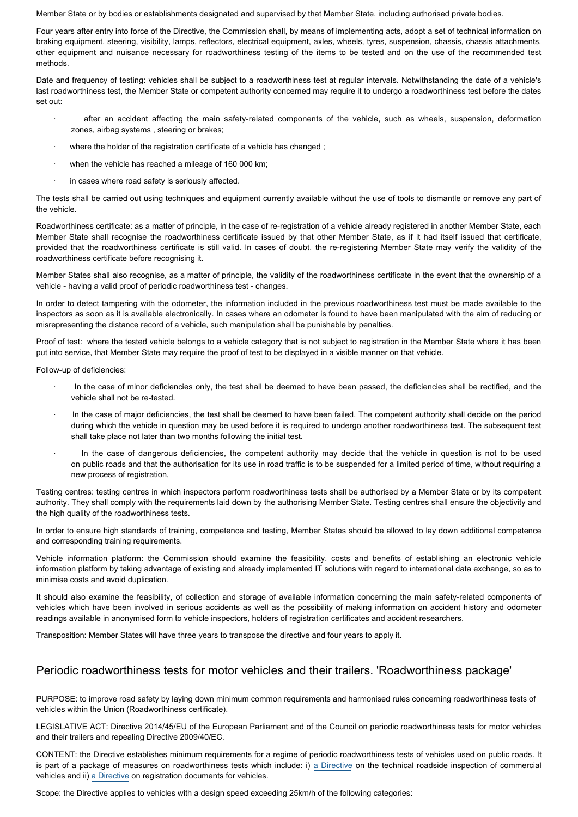Member State or by bodies or establishments designated and supervised by that Member State, including authorised private bodies.

Four years after entry into force of the Directive, the Commission shall, by means of implementing acts, adopt a set of technical information on braking equipment, steering, visibility, lamps, reflectors, electrical equipment, axles, wheels, tyres, suspension, chassis, chassis attachments, other equipment and nuisance necessary for roadworthiness testing of the items to be tested and on the use of the recommended test methods.

Date and frequency of testing: vehicles shall be subject to a roadworthiness test at regular intervals. Notwithstanding the date of a vehicle's last roadworthiness test, the Member State or competent authority concerned may require it to undergo a roadworthiness test before the dates set out:

- after an accident affecting the main safety-related components of the vehicle, such as wheels, suspension, deformation zones, airbag systems , steering or brakes;
- · where the holder of the registration certificate of a vehicle has changed ;
- when the vehicle has reached a mileage of 160 000 km;
- in cases where road safety is seriously affected.

The tests shall be carried out using techniques and equipment currently available without the use of tools to dismantle or remove any part of the vehicle.

Roadworthiness certificate: as a matter of principle, in the case of re-registration of a vehicle already registered in another Member State, each Member State shall recognise the roadworthiness certificate issued by that other Member State, as if it had itself issued that certificate, provided that the roadworthiness certificate is still valid. In cases of doubt, the re-registering Member State may verify the validity of the roadworthiness certificate before recognising it.

Member States shall also recognise, as a matter of principle, the validity of the roadworthiness certificate in the event that the ownership of a vehicle - having a valid proof of periodic roadworthiness test - changes.

In order to detect tampering with the odometer, the information included in the previous roadworthiness test must be made available to the inspectors as soon as it is available electronically. In cases where an odometer is found to have been manipulated with the aim of reducing or misrepresenting the distance record of a vehicle, such manipulation shall be punishable by penalties.

Proof of test: where the tested vehicle belongs to a vehicle category that is not subject to registration in the Member State where it has been put into service, that Member State may require the proof of test to be displayed in a visible manner on that vehicle.

Follow-up of deficiencies:

- In the case of minor deficiencies only, the test shall be deemed to have been passed, the deficiencies shall be rectified, and the vehicle shall not be re-tested.
- · In the case of major deficiencies, the test shall be deemed to have been failed. The competent authority shall decide on the period during which the vehicle in question may be used before it is required to undergo another roadworthiness test. The subsequent test shall take place not later than two months following the initial test.
- In the case of dangerous deficiencies, the competent authority may decide that the vehicle in question is not to be used on public roads and that the authorisation for its use in road traffic is to be suspended for a limited period of time, without requiring a new process of registration.

Testing centres: testing centres in which inspectors perform roadworthiness tests shall be authorised by a Member State or by its competent authority. They shall comply with the requirements laid down by the authorising Member State. Testing centres shall ensure the objectivity and the high quality of the roadworthiness tests.

In order to ensure high standards of training, competence and testing, Member States should be allowed to lay down additional competence and corresponding training requirements.

Vehicle information platform: the Commission should examine the feasibility, costs and benefits of establishing an electronic vehicle information platform by taking advantage of existing and already implemented IT solutions with regard to international data exchange, so as to minimise costs and avoid duplication.

It should also examine the feasibility, of collection and storage of available information concerning the main safety-related components of vehicles which have been involved in serious accidents as well as the possibility of making information on accident history and odometer readings available in anonymised form to vehicle inspectors, holders of registration certificates and accident researchers.

Transposition: Member States will have three years to transpose the directive and four years to apply it.

# Periodic roadworthiness tests for motor vehicles and their trailers. 'Roadworthiness package'

PURPOSE: to improve road safety by laying down minimum common requirements and harmonised rules concerning roadworthiness tests of vehicles within the Union (Roadworthiness certificate).

LEGISLATIVE ACT: Directive 2014/45/EU of the European Parliament and of the Council on periodic roadworthiness tests for motor vehicles and their trailers and repealing Directive 2009/40/EC.

CONTENT: the Directive establishes minimum requirements for a regime of periodic roadworthiness tests of vehicles used on public roads. It is part of a package of measures on roadworthiness tests which include: i) [a Directive](http://www.europarl.europa.eu/oeil/popups/ficheprocedure.do?reference=2012/0186(COD)&l=en) on the technical roadside inspection of commercial vehicles and ii) [a Directive](http://www.europarl.europa.eu/oeil/popups/ficheprocedure.do?reference=2012/0185(COD)&l=en) on registration documents for vehicles.

Scope: the Directive applies to vehicles with a design speed exceeding 25km/h of the following categories: